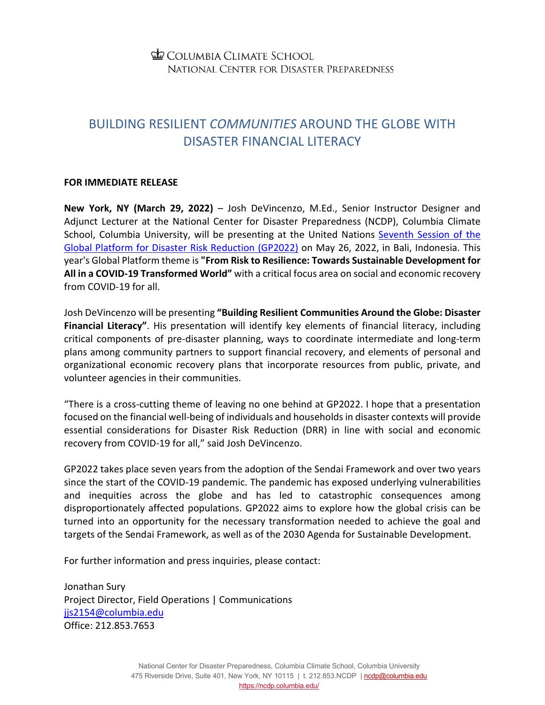## **ED COLUMBIA CLIMATE SCHOOL** NATIONAL CENTER FOR DISASTER PREPAREDNESS

## BUILDING RESILIENT *COMMUNITIES* AROUND THE GLOBE WITH DISASTER FINANCIAL LITERACY

## **FOR IMMEDIATE RELEASE**

**New York, NY (March 29, 2022)** – Josh DeVincenzo, M.Ed., Senior Instructor Designer and Adjunct Lecturer at the National Center for Disaster Preparedness (NCDP), Columbia Climate School, Columbia University, will be presenting at the United Nations [Seventh Session of the](https://www.who.int/news-room/events/detail/2022/05/23/default-calendar/seventh-session-of-the-global-platform-for-disaster-risk-reduction-(gp2022)#:%7E:text=The%20seventh%20session%20of%20the,Government%20of%20Indonesia%20and%20UNDRR.)  [Global Platform for Disaster Risk Reduction \(GP2022\)](https://www.who.int/news-room/events/detail/2022/05/23/default-calendar/seventh-session-of-the-global-platform-for-disaster-risk-reduction-(gp2022)#:%7E:text=The%20seventh%20session%20of%20the,Government%20of%20Indonesia%20and%20UNDRR.) on May 26, 2022, in Bali, Indonesia. This year's Global Platform theme is **"From Risk to Resilience: Towards Sustainable Development for All in a COVID-19 Transformed World"** with a critical focus area on social and economic recovery from COVID-19 for all.

Josh DeVincenzo will be presenting **"Building Resilient Communities Around the Globe: Disaster Financial Literacy"**. His presentation will identify key elements of financial literacy, including critical components of pre-disaster planning, ways to coordinate intermediate and long-term plans among community partners to support financial recovery, and elements of personal and organizational economic recovery plans that incorporate resources from public, private, and volunteer agencies in their communities.

"There is a cross-cutting theme of leaving no one behind at GP2022. I hope that a presentation focused on the financial well-being of individuals and households in disaster contexts will provide essential considerations for Disaster Risk Reduction (DRR) in line with social and economic recovery from COVID-19 for all," said Josh DeVincenzo.

GP2022 takes place seven years from the adoption of the Sendai Framework and over two years since the start of the COVID-19 pandemic. The pandemic has exposed underlying vulnerabilities and inequities across the globe and has led to catastrophic consequences among disproportionately affected populations. GP2022 aims to explore how the global crisis can be turned into an opportunity for the necessary transformation needed to achieve the goal and targets of the Sendai Framework, as well as of the 2030 Agenda for Sustainable Development.

For further information and press inquiries, please contact:

Jonathan Sury Project Director, Field Operations | Communications jis2154@columbia.edu Office: 212.853.7653